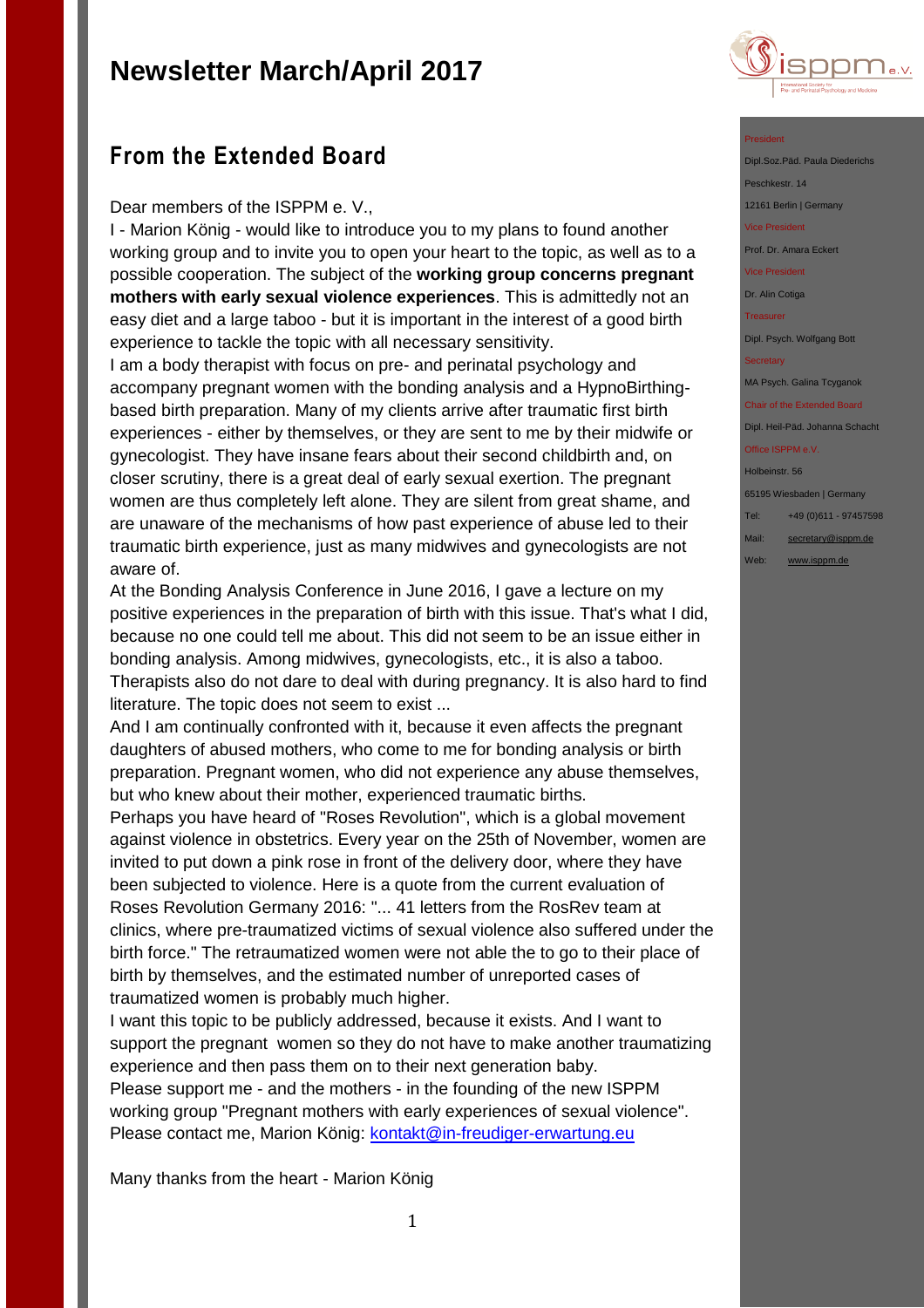

## **From the Extended Board**

Dear members of the ISPPM e. V.,

I - Marion König - would like to introduce you to my plans to found another working group and to invite you to open your heart to the topic, as well as to a possible cooperation. The subject of the **working group concerns pregnant mothers with early sexual violence experiences**. This is admittedly not an easy diet and a large taboo - but it is important in the interest of a good birth experience to tackle the topic with all necessary sensitivity.

I am a body therapist with focus on pre- and perinatal psychology and accompany pregnant women with the bonding analysis and a HypnoBirthingbased birth preparation. Many of my clients arrive after traumatic first birth experiences - either by themselves, or they are sent to me by their midwife or gynecologist. They have insane fears about their second childbirth and, on closer scrutiny, there is a great deal of early sexual exertion. The pregnant women are thus completely left alone. They are silent from great shame, and are unaware of the mechanisms of how past experience of abuse led to their traumatic birth experience, just as many midwives and gynecologists are not aware of.

At the Bonding Analysis Conference in June 2016, I gave a lecture on my positive experiences in the preparation of birth with this issue. That's what I did, because no one could tell me about. This did not seem to be an issue either in bonding analysis. Among midwives, gynecologists, etc., it is also a taboo. Therapists also do not dare to deal with during pregnancy. It is also hard to find literature. The topic does not seem to exist ...

And I am continually confronted with it, because it even affects the pregnant daughters of abused mothers, who come to me for bonding analysis or birth preparation. Pregnant women, who did not experience any abuse themselves, but who knew about their mother, experienced traumatic births.

Perhaps you have heard of "Roses Revolution", which is a global movement against violence in obstetrics. Every year on the 25th of November, women are invited to put down a pink rose in front of the delivery door, where they have been subjected to violence. Here is a quote from the current evaluation of Roses Revolution Germany 2016: "... 41 letters from the RosRev team at clinics, where pre-traumatized victims of sexual violence also suffered under the birth force." The retraumatized women were not able the to go to their place of birth by themselves, and the estimated number of unreported cases of traumatized women is probably much higher.

I want this topic to be publicly addressed, because it exists. And I want to support the pregnant women so they do not have to make another traumatizing experience and then pass them on to their next generation baby. Please support me - and the mothers - in the founding of the new ISPPM working group "Pregnant mothers with early experiences of sexual violence". Please contact me, Marion König: [kontakt@in-freudiger-erwartung.eu](mailto:kontakt@in-freudiger-erwartung.eu)

Many thanks from the heart - Marion König

#### President

Dipl.Soz.Päd. Paula Diederichs Peschkestr. 14

12161 Berlin | Germany Vice President

Prof. Dr. Amara Eckert

Vice President

Dr. Alin Cotiga

**Treasurer** 

Dipl. Psych. Wolfgang Bott

**Secretary** 

MA Psych. Galina Tcyganok

Chair of the Extended Board Dipl. Heil-Päd. Johanna Schacht

Office ISPPM e.V.

Holbeinstr. 56 65195 Wiesbaden | Germany

Tel: +49 (0)611 - 97457598

- Mail: [secretary@isppm.de](mailto:secretary@isppm.de)
- Web: [www.isppm.de](http://www.isppm.de/)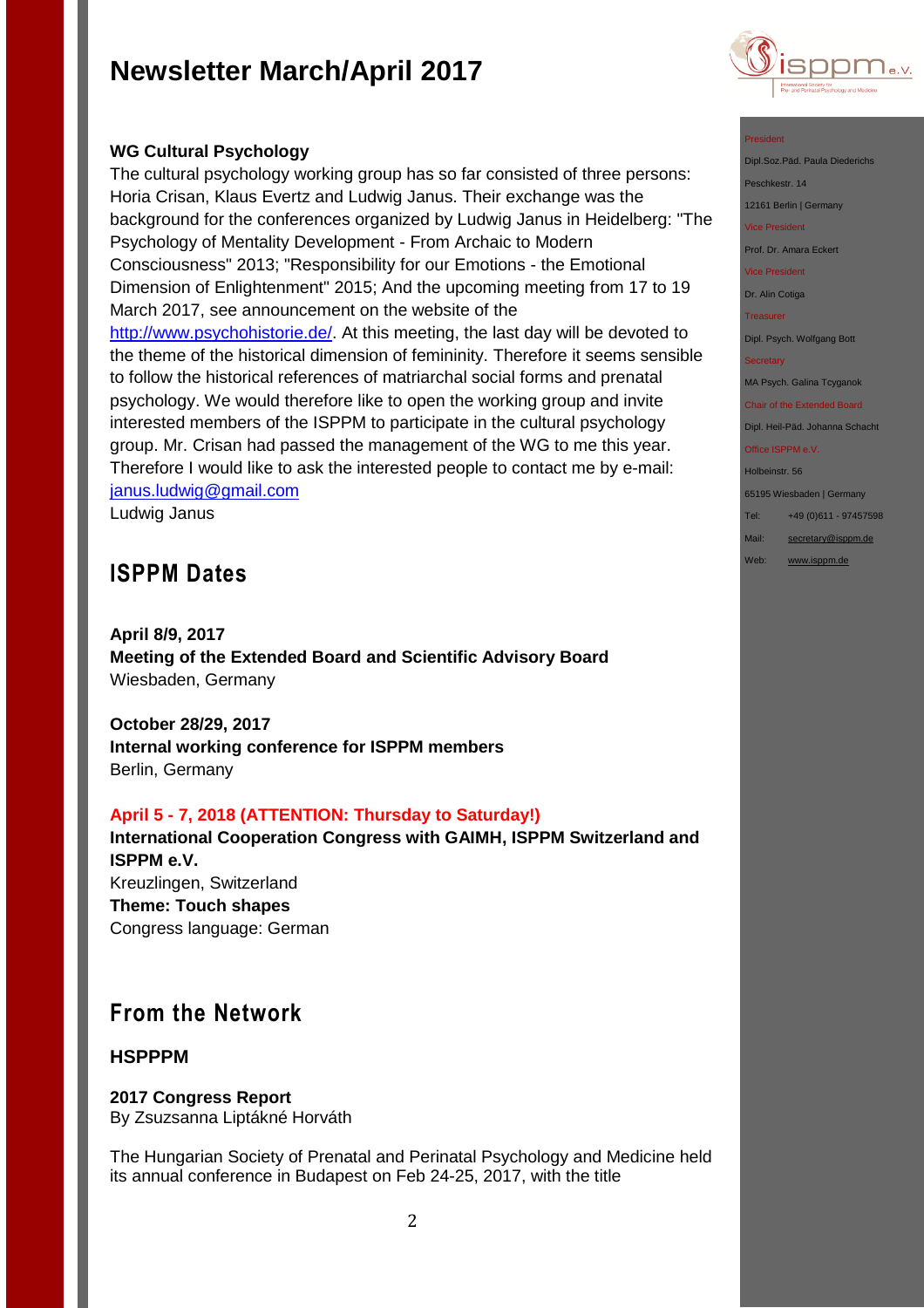

### **WG Cultural Psychology**

The cultural psychology working group has so far consisted of three persons: Horia Crisan, Klaus Evertz and Ludwig Janus. Their exchange was the background for the conferences organized by Ludwig Janus in Heidelberg: "The Psychology of Mentality Development - From Archaic to Modern Consciousness" 2013; "Responsibility for our Emotions - the Emotional Dimension of Enlightenment" 2015; And the upcoming meeting from 17 to 19 March 2017, see announcement on the website of the [http://www.psychohistorie.de/.](http://www.psychohistorie.de/) At this meeting, the last day will be devoted to the theme of the historical dimension of femininity. Therefore it seems sensible to follow the historical references of matriarchal social forms and prenatal psychology. We would therefore like to open the working group and invite interested members of the ISPPM to participate in the cultural psychology group. Mr. Crisan had passed the management of the WG to me this year. Therefore I would like to ask the interested people to contact me by e-mail: [janus.ludwig@gmail.com](mailto:janus.ludwig@gmail.com)

Ludwig Janus

## **ISPPM Dates**

**April 8/9, 2017 Meeting of the Extended Board and Scientific Advisory Board** Wiesbaden, Germany

**October 28/29, 2017 Internal working conference for ISPPM members** Berlin, Germany

#### **April 5 - 7, 2018 (ATTENTION: Thursday to Saturday!)**

**International Cooperation Congress with GAIMH, ISPPM Switzerland and ISPPM e.V.** Kreuzlingen, Switzerland **Theme: Touch shapes** Congress language: German

## **From the Network**

### **HSPPPM**

### **2017 Congress Report**

By Zsuzsanna Liptákné Horváth

The Hungarian Society of Prenatal and Perinatal Psychology and Medicine held its annual conference in Budapest on Feb 24-25, 2017, with the title

#### President

Dipl.Soz.Päd. Paula Diederichs Peschkestr. 14 12161 Berlin | Germany

Vice President

Prof. Dr. Amara Eckert

Vice President

Dr. Alin Cotiga

**Treasurer** 

Dipl. Psych. Wolfgang Bott

**Secretary** 

MA Psych. Galina Tcyganok

Chair of the Extended Board Dipl. Heil-Päd. Johanna Schacht

Office ISPPM e.V. Holbeinstr. 56

65195 Wiesbaden | Germany

Tel: +49 (0)611 - 97457598

Mail: [secretary@isppm.de](mailto:secretary@isppm.de)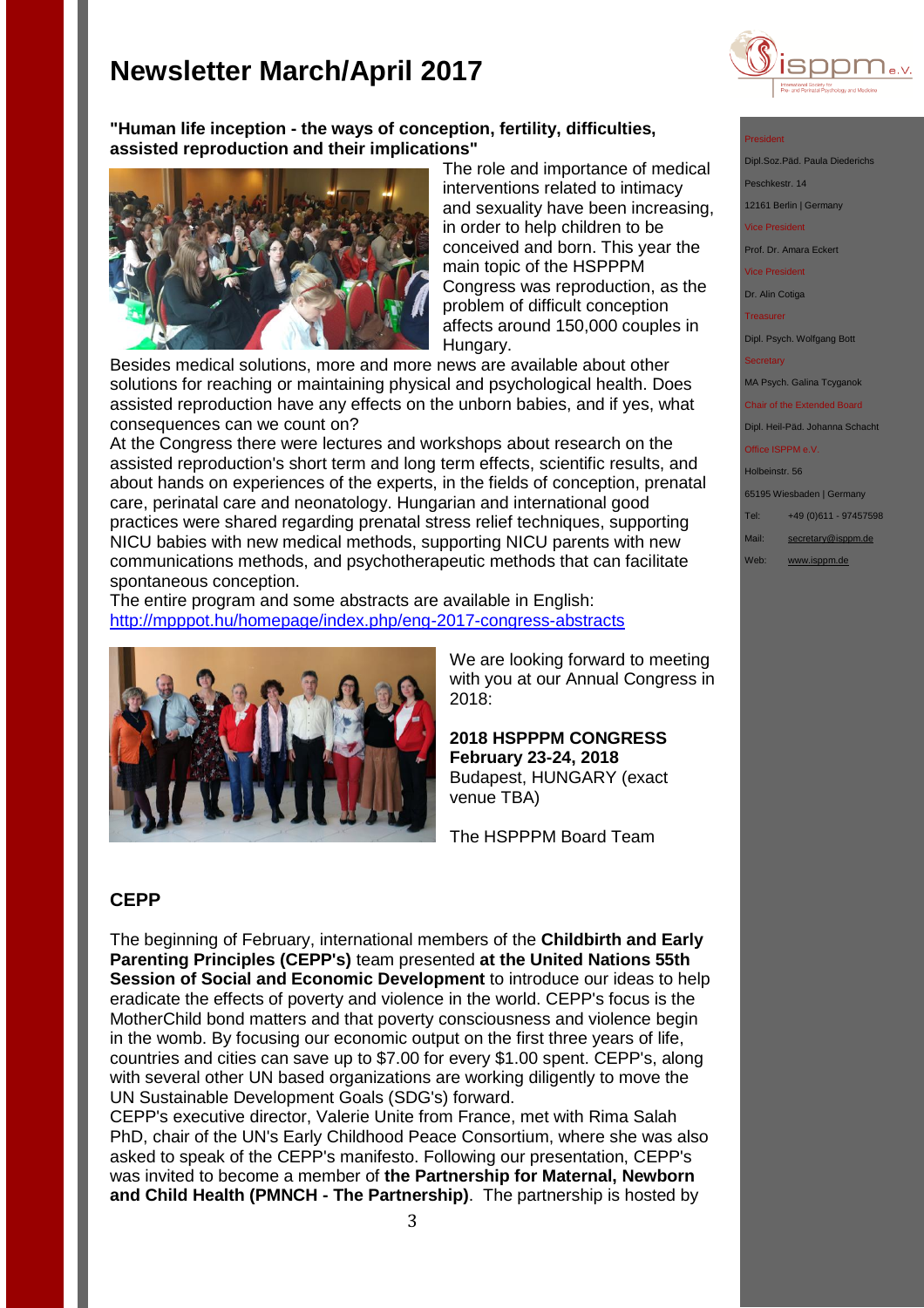

#### **"Human life inception - the ways of conception, fertility, difficulties, assisted reproduction and their implications"**



The role and importance of medical interventions related to intimacy and sexuality have been increasing, in order to help children to be conceived and born. This year the main topic of the HSPPPM Congress was reproduction, as the problem of difficult conception affects around 150,000 couples in Hungary.

Besides medical solutions, more and more news are available about other solutions for reaching or maintaining physical and psychological health. Does assisted reproduction have any effects on the unborn babies, and if yes, what consequences can we count on?

At the Congress there were lectures and workshops about research on the assisted reproduction's short term and long term effects, scientific results, and about hands on experiences of the experts, in the fields of conception, prenatal care, perinatal care and neonatology. Hungarian and international good practices were shared regarding prenatal stress relief techniques, supporting NICU babies with new medical methods, supporting NICU parents with new communications methods, and psychotherapeutic methods that can facilitate spontaneous conception.

The entire program and some abstracts are available in English: <http://mpppot.hu/homepage/index.php/eng-2017-congress-abstracts>



We are looking forward to meeting with you at our Annual Congress in 2018:

**2018 HSPPPM CONGRESS February 23-24, 2018**  Budapest, HUNGARY (exact venue TBA)

The HSPPPM Board Team

#### **CEPP**

The beginning of February, international members of the **Childbirth and Early Parenting Principles (CEPP's)** team presented **at the United Nations 55th Session of Social and Economic Development** to introduce our ideas to help eradicate the effects of poverty and violence in the world. CEPP's focus is the MotherChild bond matters and that poverty consciousness and violence begin in the womb. By focusing our economic output on the first three years of life, countries and cities can save up to \$7.00 for every \$1.00 spent. CEPP's, along with several other UN based organizations are working diligently to move the UN Sustainable Development Goals (SDG's) forward.

CEPP's executive director, Valerie Unite from France, met with Rima Salah PhD, chair of the UN's Early Childhood Peace Consortium, where she was also asked to speak of the CEPP's manifesto. Following our presentation, CEPP's was invited to become a member of **the Partnership for Maternal, Newborn and Child Health (PMNCH - The Partnership)**. The partnership is hosted by

- Dipl.Soz.Päd. Paula Diederich Peschkestr. 14
- 12161 Berlin | Germany
	- Vice President
	- Prof. Dr. Amara Eckert
	- Vice President
	- Dr. Alin Cotiga
	- **Treasurer**

Dipl. Psych. Wolfgang Bott

MA Psych. Galina Tcyganok

Chair of the Extended Board Dipl. Heil-Päd. Johanna Schacht

Office ISPPM e.V.

Holbeinstr. 56

65195 Wiesbaden | Germany

- Tel: +49 (0)611 97457598
- Mail: [secretary@isppm.de](mailto:secretary@isppm.de)
- Web: [www.isppm.de](http://www.isppm.de/)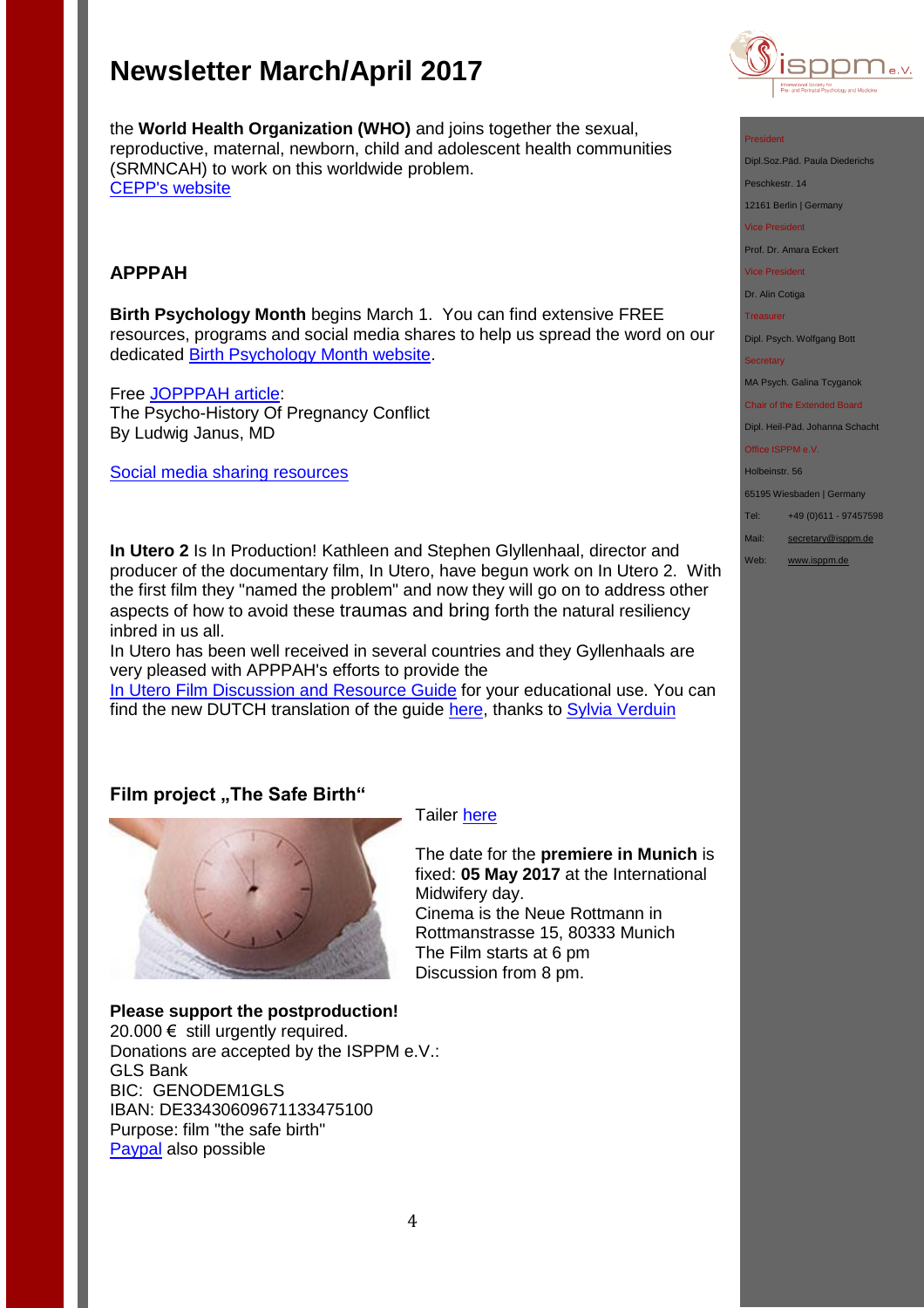

President

Dipl.Soz.Päd. Paula Diederic

Peschkestr. 14

12161 Berlin | Germany

Vice President

Prof. Dr. Amara Eckert

Vice President

Dr. Alin Cotiga

**Treasurer** 

Dipl. Psych. Wolfgang Bott

#### **Secretary**

MA Psych. Galina Tcyganok

Chair of the Extended Board Dipl. Heil-Päd. Johanna Schacht

#### Office ISPPM e.V.

Holbeinstr. 56

65195 Wiesbaden | Germany

- Tel: +49 (0)611 97457598
- Mail: [secretary@isppm.de](mailto:secretary@isppm.de)
- Web: [www.isppm.de](http://www.isppm.de/)

the **World Health Organization (WHO)** and joins together the sexual, reproductive, maternal, newborn, child and adolescent health communities (SRMNCAH) to work on this worldwide problem. [CEPP's website](http://r20.rs6.net/tn.jsp?f=001f3OMms0LBL8YxVxlBQLmBZx8yaXeiY1isstj0A3FG72Sux4y_vZ40k5Ugte2ijvXEinrqiezp7Pp-PLpWZkWr2FjHlQM9SQefnUs70UHroG8rBePwIdX3Ij76nD_isb86gCGxzknvvXL458JN3V3MdbkzGGqxwH43hTWyqujdBA=&c=&ch=)

### **APPPAH**

**Birth Psychology Month** begins March 1. You can find extensive FREE resources, programs and social media shares to help us spread the word on our dedicated [Birth Psychology Month website.](http://r20.rs6.net/tn.jsp?f=001f3OMms0LBL8YxVxlBQLmBZx8yaXeiY1isstj0A3FG72Sux4y_vZ40sCyderO9Hz57hju_9J4o3LJoLMypkVGBwaav4JL4LPHfXw55w3IMN5f5WP6VgwCaJlc0_eDKxTmSX7purEY5PBlVIYOiGg72XCTbd6rvBdOZZ1uH0j28pZpQVLuRiivJQ==&c=&ch=)

Free [JOPPPAH article:](http://r20.rs6.net/tn.jsp?f=001f3OMms0LBL8YxVxlBQLmBZx8yaXeiY1isstj0A3FG72Sux4y_vZ40gGEtzG_Tt5Op1slCs_qVI05e5Kjw--bmlTeXh5kvjk2OiQK80aSJXHI_KFH7RxXPZKT5jW9f0BR_lLo-SYWzkt26MXWothe0twyI46tcFuasD4wNfiecN7IgiC_6MeF-7msZhslNmyG5BqIXdApYI1cqv8IMvoXOW-Jc-fAAOUCm6lzjvxXERsgojrOpZjWeXk5Ig6XxfAFZ85-w4lJHCcA2WzaWwRrAw==&c=KX2XI2uSjETA7YHtp7qaK4KbQLQBiwf2g94eWLIjzRhv-E3S12XJOw==&ch=xjHcvPPNTGuin_OzMANTli6UDkq3Gem2ZaB3Vf2fvDJNv47JRy6qMg==) The Psycho-History Of Pregnancy Conflict By Ludwig Janus, MD

[Social media sharing resources](https://www.facebook.com/APPPAH/photos/a.201546343363198.1073741828.198734153644417/503323489852147/?type=3&theater)

**In Utero 2** Is In Production! Kathleen and Stephen Glyllenhaal, director and producer of the documentary film, In Utero, have begun work on In Utero 2. With the first film they "named the problem" and now they will go on to address other aspects of how to avoid these traumas and bring forth the natural resiliency inbred in us all.

In Utero has been well received in several countries and they Gyllenhaals are very pleased with APPPAH's efforts to provide the

[In Utero Film Discussion and Resource Guide](http://r20.rs6.net/tn.jsp?f=001f3OMms0LBL8YxVxlBQLmBZx8yaXeiY1isstj0A3FG72Sux4y_vZ40lQiZIlY3ES3koRvqhXe0nb69jJgdlUjfaHOaUT-aap8W73UOhWdH8xYctEqw_7fJdSQVNd0jHjIzteSWGbHzUcEtkLJh0TMVgTKFS-vbjSq8l7WOzCGnql3gZS7geUCZxWMyMikupCwWBgeHPyYBCiujDMqWwMuyaav9xK5xDvqbrSbZgf7y31ik1JKEpZM3GQJ3iC6GajXoZVOdJBYBuE=&c=KX2XI2uSjETA7YHtp7qaK4KbQLQBiwf2g94eWLIjzRhv-E3S12XJOw==&ch=xjHcvPPNTGuin_OzMANTli6UDkq3Gem2ZaB3Vf2fvDJNv47JRy6qMg==) for your educational use. You can find the new DUTCH translation of the guide [here,](http://kindredmedia.org/wp-content/uploads/In-Utero-Guide-DUTCH-Version-2017.pdf) thanks to [Sylvia Verduin](http://www.sylviaverduin.nl/)

### **Film project ..The Safe Birth"**



#### Tailer [here](http://www.isppm.de/en/donate/)

The date for the **premiere in Munich** is fixed: **05 May 2017** at the International Midwifery day. Cinema is the Neue Rottmann in Rottmanstrasse 15, 80333 Munich The Film starts at 6 pm Discussion from 8 pm.

### **Please support the postproduction!**

20.000  $€$  still urgently required. Donations are accepted by the ISPPM e.V.: GLS Bank BIC: GENODEM1GLS IBAN: DE33430609671133475100 Purpose: film "the safe birth" [Paypal](http://www.isppm.de/en/donate/) also possible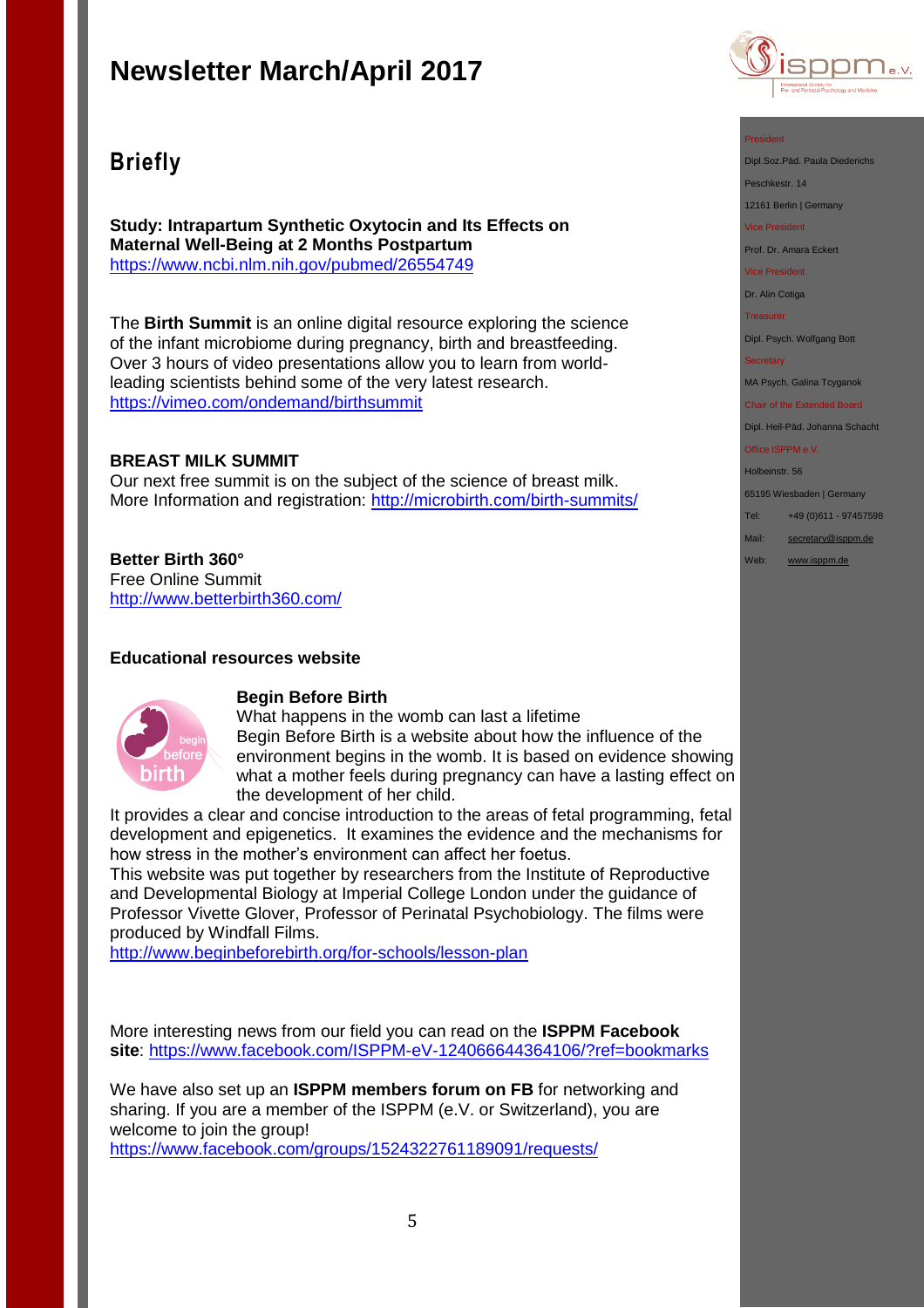## **Briefly**

**Study: Intrapartum Synthetic Oxytocin and Its Effects on Maternal Well-Being at 2 Months Postpartum** <https://www.ncbi.nlm.nih.gov/pubmed/26554749>

The **Birth Summit** is an online digital resource exploring the science of the infant microbiome during pregnancy, birth and breastfeeding. Over 3 hours of video presentations allow you to learn from worldleading scientists behind some of the very latest research. <https://vimeo.com/ondemand/birthsummit>

### **BREAST MILK SUMMIT**

Our next free summit is on the subject of the science of breast milk. More Information and registration:<http://microbirth.com/birth-summits/>

### **Better Birth 360°**

Free Online Summit <http://www.betterbirth360.com/>

### **Educational resources website**



### **Begin Before Birth**

What happens in the womb can last a lifetime Begin Before Birth is a website about how the influence of the environment begins in the womb. It is based on evidence showing what a mother feels during pregnancy can have a lasting effect on the development of her child.

It provides a clear and concise introduction to the areas of fetal programming, fetal development and epigenetics. It examines the evidence and the mechanisms for how stress in the mother's environment can affect her foetus.

This website was put together by researchers from the Institute of Reproductive and Developmental Biology at Imperial College London under the guidance of Professor Vivette Glover, Professor of Perinatal Psychobiology. The films were produced by Windfall Films.

<http://www.beginbeforebirth.org/for-schools/lesson-plan>

More interesting news from our field you can read on the **ISPPM Facebook site**:<https://www.facebook.com/ISPPM-eV-124066644364106/?ref=bookmarks>

We have also set up an **ISPPM members forum on FB** for networking and sharing. If you are a member of the ISPPM (e.V. or Switzerland), you are welcome to join the group! <https://www.facebook.com/groups/1524322761189091/requests/>



#### President

Dipl.Soz.Päd. Paula Diederichs

Peschkestr. 14

12161 Berlin | Germany

Vice President

Prof. Dr. Amara Eckert

Vice President

Dr. Alin Cotiga

**Treasurer** 

Dipl. Psych. Wolfgang Bott

#### **Secretary**

MA Psych. Galina Tcyganok

Chair of the Extended Board Dipl. Heil-Päd. Johanna Schacht

Office ISPPM e.V.

Holbeinstr. 56

65195 Wiesbaden | Germany

Tel: +49 (0)611 - 97457598

Mail: [secretary@isppm.de](mailto:secretary@isppm.de)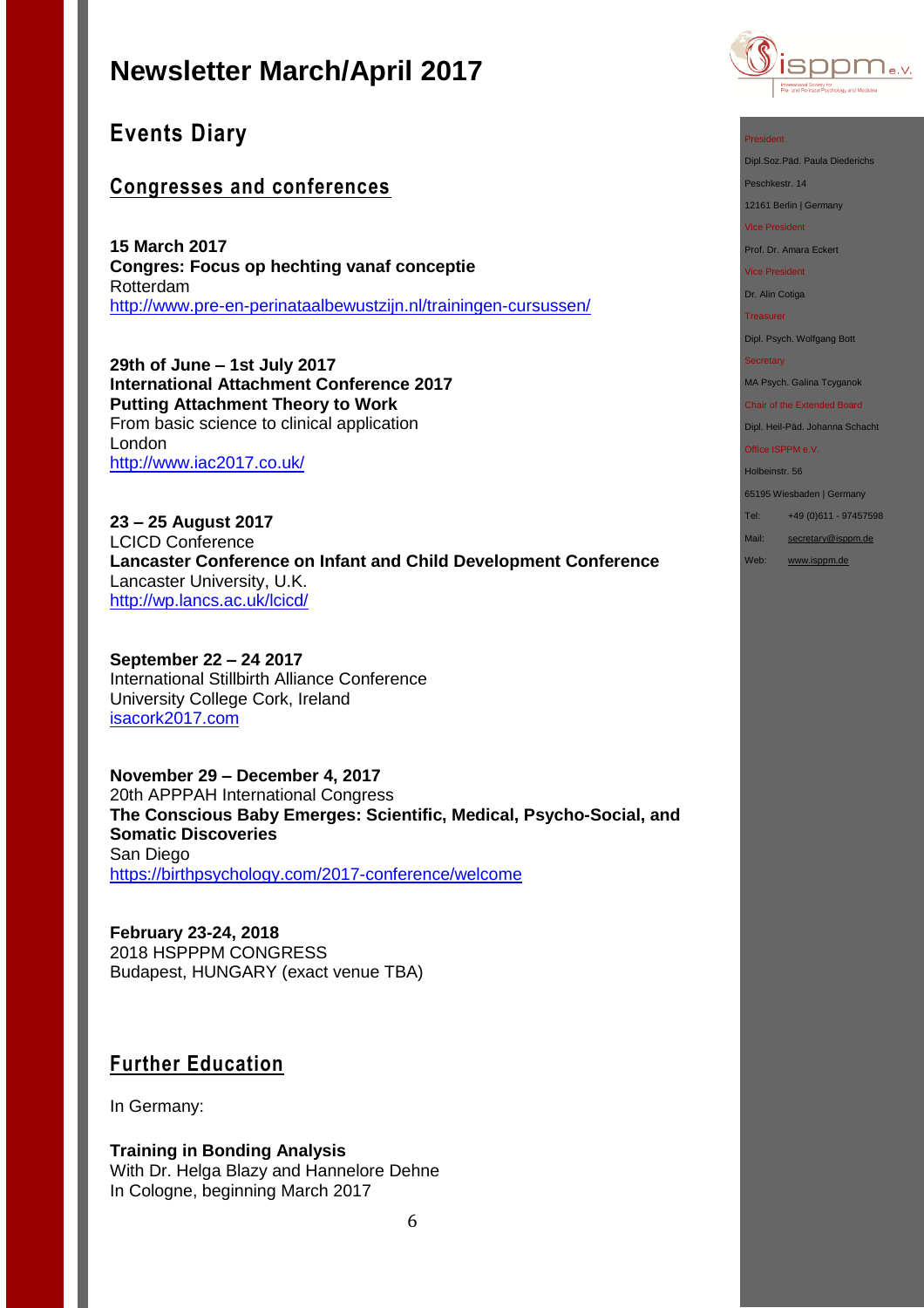## **Events Diary**

## **Congresses and conferences**

**15 March 2017 Congres: Focus op hechting vanaf conceptie** Rotterdam <http://www.pre-en-perinataalbewustzijn.nl/trainingen-cursussen/>

**29th of June – 1st July 2017 International Attachment Conference 2017 Putting Attachment Theory to Work**  From basic science to clinical application London <http://www.iac2017.co.uk/>

**23 – 25 August 2017** LCICD Conference **Lancaster Conference on Infant and Child Development Conference** Lancaster University, U.K. <http://wp.lancs.ac.uk/lcicd/>

**September 22 – 24 2017** International Stillbirth Alliance Conference University College Cork, Ireland [isacork2017.com](http://stillbirthalliance.us6.list-manage.com/track/click?u=811549f73d7f344e10a813f47&id=ca40d537d4&e=19741be71a)

**November 29 – December 4, 2017** 20th APPPAH International Congress **The Conscious Baby Emerges: Scientific, Medical, Psycho-Social, and Somatic Discoveries** San Diego <https://birthpsychology.com/2017-conference/welcome>

**February 23-24, 2018**  2018 HSPPPM CONGRESS Budapest, HUNGARY (exact venue TBA)

### **Further Education**

In Germany:

**Training in Bonding Analysis** With Dr. Helga Blazy and Hannelore Dehne In Cologne, beginning March 2017



#### President

Dipl.Soz.Päd. Paula Diederichs

Peschkestr. 14

12161 Berlin | Germany

Vice President

Prof. Dr. Amara Eckert

Vice President

Dr. Alin Cotiga

Treasurer

Dipl. Psych. Wolfgang Bott

#### **Secretary**

MA Psych. Galina Tcyganok

Chair of the Extended Board Dipl. Heil-Päd. Johanna Schacht

Office ISPPM e.V.

Holbeinstr. 56

65195 Wiesbaden | Germany

Tel: +49 (0)611 - 97457598

Mail: [secretary@isppm.de](mailto:secretary@isppm.de)

Web: [www.isppm.de](http://www.isppm.de/)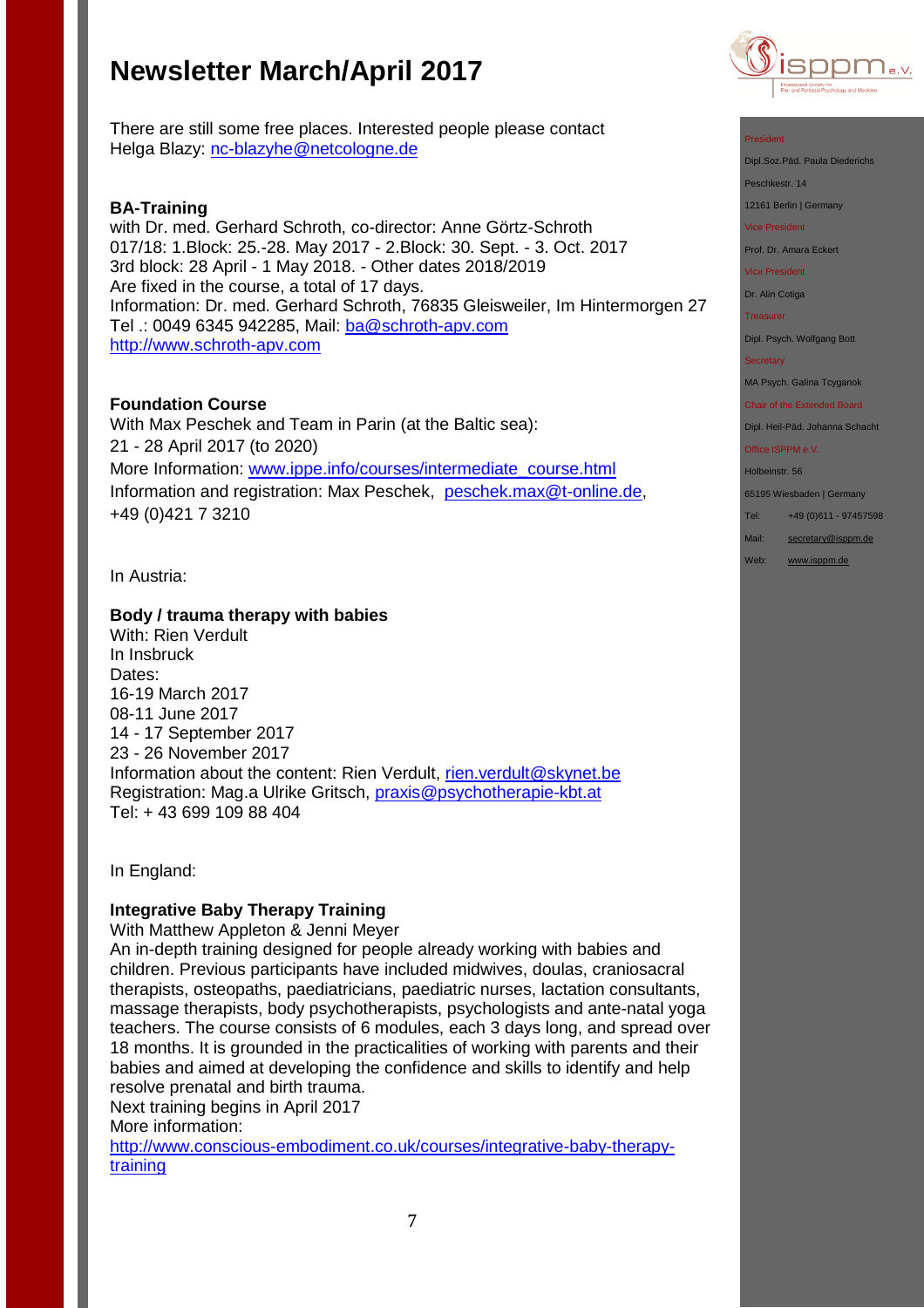

There are still some free places. Interested people please contact Helga Blazy: [nc-blazyhe@netcologne.de](mailto:nc-blazyhe@netcologne.de)

#### **BA-Training**

with Dr. med. Gerhard Schroth, co-director: Anne Görtz-Schroth 017/18: 1.Block: 25.-28. May 2017 - 2.Block: 30. Sept. - 3. Oct. 2017 3rd block: 28 April - 1 May 2018. - Other dates 2018/2019 Are fixed in the course, a total of 17 days. Information: Dr. med. Gerhard Schroth, 76835 Gleisweiler, Im Hintermorgen 27 Tel .: 0049 6345 942285, Mail: [ba@schroth-apv.com](mailto:ba@schroth-apv.com) [http://www.schroth-apv.com](http://www.schroth-apv.com/)

### **Foundation Course**

With Max Peschek and Team in Parin (at the Baltic sea): 21 - 28 April 2017 (to 2020) More Information: [www.ippe.info/courses/intermediate\\_course.html](../Google%20Drive/isppm/ISPPM%20e.V/Rundbriefe/www.ippe.info/courses/intermediate_course.html) Information and registration: Max Peschek, [peschek.max@t-online.de,](mailto:peschek.max@t-online.de) +49 (0)421 7 3210

In Austria:

#### **Body / trauma therapy with babies**

With: Rien Verdult In Insbruck Dates: 16-19 March 2017 08-11 June 2017 14 - 17 September 2017 23 - 26 November 2017 Information about the content: Rien Verdult, [rien.verdult@skynet.be](mailto:rien.verdult@skynet.be) Registration: Mag.a Ulrike Gritsch, [praxis@psychotherapie-kbt.at](mailto:praxis@psychotherapie-kbt.at) Tel: + 43 699 109 88 404

In England:

#### **Integrative Baby Therapy Training**

With Matthew Appleton & Jenni Meyer

An in-depth training designed for people already working with babies and children. Previous participants have included midwives, doulas, craniosacral therapists, osteopaths, paediatricians, paediatric nurses, lactation consultants, massage therapists, body psychotherapists, psychologists and ante-natal yoga teachers. The course consists of 6 modules, each 3 days long, and spread over 18 months. It is grounded in the practicalities of working with parents and their babies and aimed at developing the confidence and skills to identify and help resolve prenatal and birth trauma.

Next training begins in April 2017 More information:

[http://www.conscious-embodiment.co.uk/courses/integrative-baby-therapy](http://www.conscious-embodiment.co.uk/courses/integrative-baby-therapy-training)[training](http://www.conscious-embodiment.co.uk/courses/integrative-baby-therapy-training)



Dipl.Soz.Päd. Paula Diederichs

Peschkestr. 14

12161 Berlin | Germany

Vice President

Prof. Dr. Amara Eckert

Vice President

Dr. Alin Cotiga

**Treasurer** 

Dipl. Psych. Wolfgang Bott

**Secretary** 

MA Psych. Galina Tcyganok

Chair of the Extended Board Dipl. Heil-Päd. Johanna Schacht

Office ISPPM e.V.

Holbeinstr. 56

65195 Wiesbaden | Germany

Tel: +49 (0)611 - 97457598

Mail: [secretary@isppm.de](mailto:secretary@isppm.de)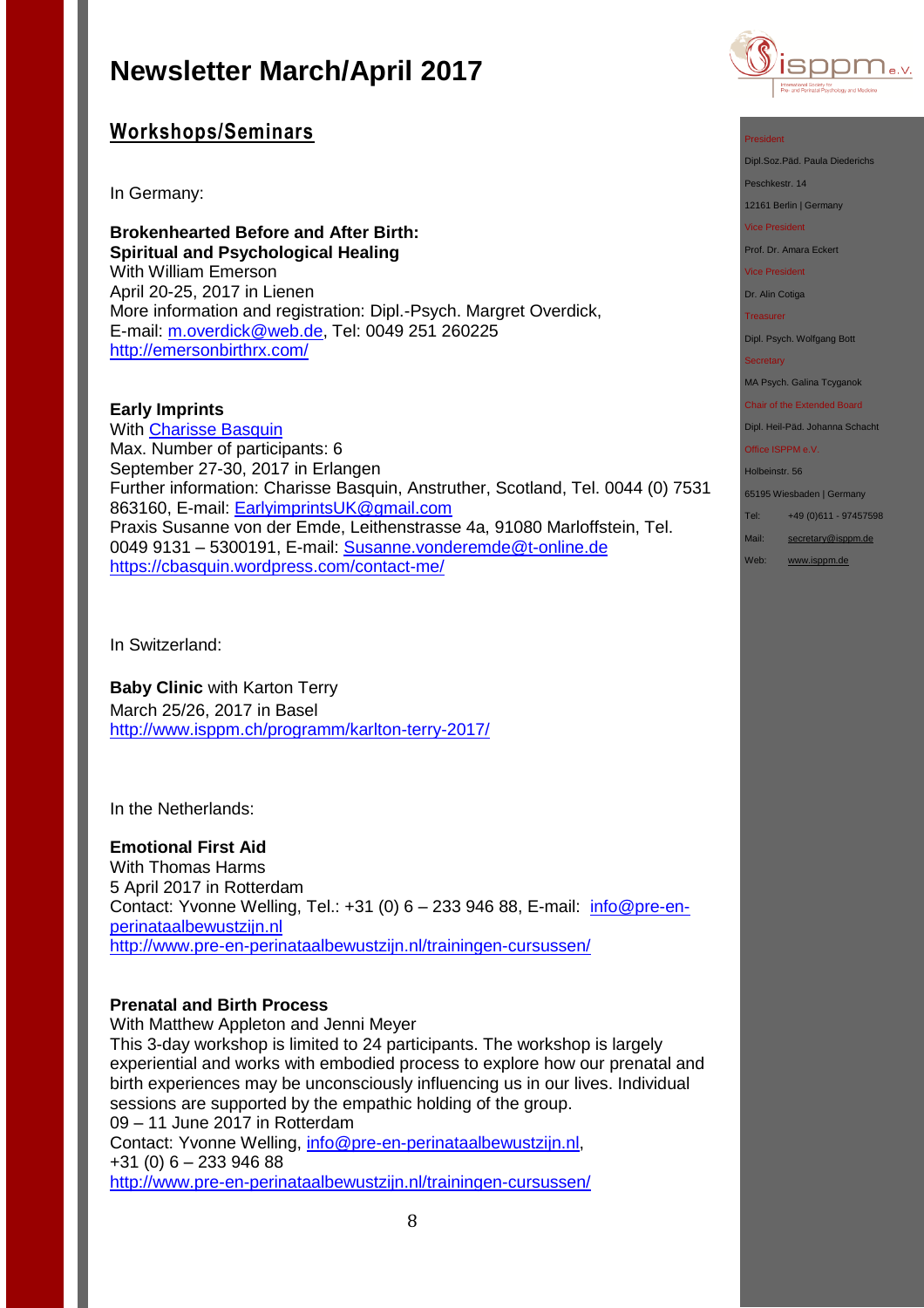

### **Workshops/Seminars**

In Germany:

**Brokenhearted Before and After Birth: Spiritual and Psychological Healing** With William Emerson April 20-25, 2017 in Lienen More information and registration: Dipl.-Psych. Margret Overdick, E-mail: [m.overdick@web.de,](mailto:m.overdick@web.de) Tel: 0049 251 260225 <http://emersonbirthrx.com/>

**Early Imprints** With [Charisse Basquin](https://cbasquin.wordpress.com/) Max. Number of participants: 6 September 27-30, 2017 in Erlangen Further information: Charisse Basquin, Anstruther, Scotland, Tel. 0044 (0) 7531 863160, E-mail: [EarlyimprintsUK@gmail.com](mailto:EarlyimprintsUK@gmail.com) Praxis Susanne von der Emde, Leithenstrasse 4a, 91080 Marloffstein, Tel. 0049 9131 – 5300191, E-mail: [Susanne.vonderemde@t-online.de](mailto:Susanne.vonderemde@t-online.de) <https://cbasquin.wordpress.com/contact-me/>

In Switzerland:

**Baby Clinic** with Karton Terry March 25/26, 2017 in Basel <http://www.isppm.ch/programm/karlton-terry-2017/>

In the Netherlands:

### **Emotional First Aid**

With Thomas Harms 5 April 2017 in Rotterdam Contact: Yvonne Welling, Tel.: +31 (0) 6 - 233 946 88, E-mail: [info@pre-en](mailto:info@pre-en-perinataalbewustzijn.nl)[perinataalbewustzijn.nl](mailto:info@pre-en-perinataalbewustzijn.nl) <http://www.pre-en-perinataalbewustzijn.nl/trainingen-cursussen/>

#### **Prenatal and Birth Process**

With Matthew Appleton and Jenni Meyer

This 3-day workshop is limited to 24 participants. The workshop is largely experiential and works with embodied process to explore how our prenatal and birth experiences may be unconsciously influencing us in our lives. Individual sessions are supported by the empathic holding of the group. 09 – 11 June 2017 in Rotterdam Contact: Yvonne Welling, [info@pre-en-perinataalbewustzijn.nl,](mailto:info@pre-en-perinataalbewustzijn.nl) +31 (0) 6 – 233 946 88



Dipl.Soz.Päd. Paula Diederichs

Peschkestr. 14

12161 Berlin | Germany

Vice President

Prof. Dr. Amara Eckert

Vice President

Dr. Alin Cotiga

**Treasurer** 

Dipl. Psych. Wolfgang Bott

**Secretary** 

MA Psych. Galina Tcyganok

Chair of the Extended Board Dipl. Heil-Päd. Johanna Schacht

Office ISPPM e.V.

Holbeinstr. 56

65195 Wiesbaden | Germany Tel: +49 (0)611 - 97457598

Mail: [secretary@isppm.de](mailto:secretary@isppm.de)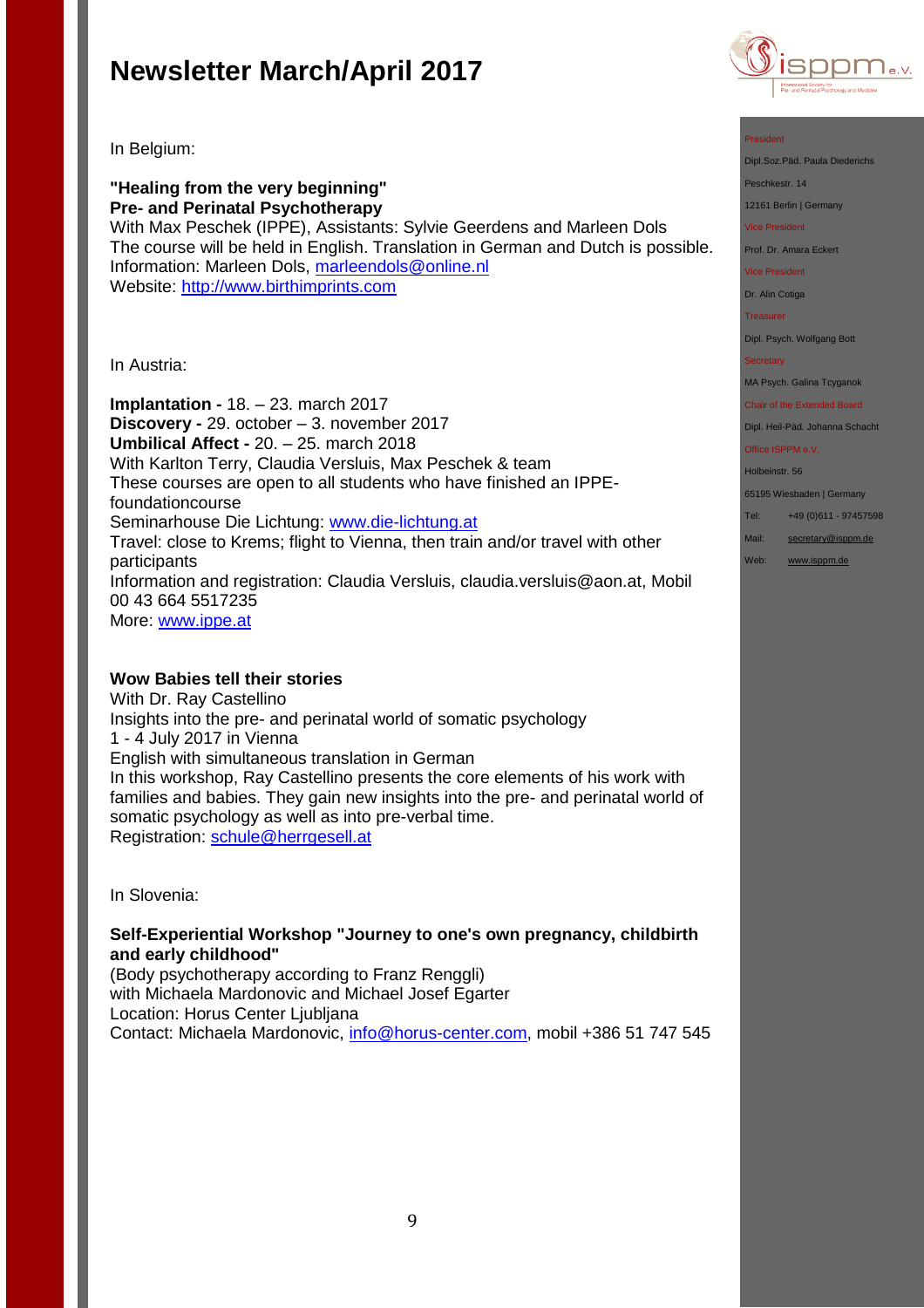

In Belgium:

**"Healing from the very beginning" Pre- and Perinatal Psychotherapy** With Max Peschek (IPPE), Assistants: Sylvie Geerdens and Marleen Dols The course will be held in English. Translation in German and Dutch is possible. Information: Marleen Dols, [marleendols@online.nl](mailto:marleendols@online.nl) Website: [http://www.birthimprints.com](http://www.birthimprints.com/)

In Austria:

**Implantation -** 18. – 23. march 2017 **Discovery -** 29. october – 3. november 2017 **Umbilical Affect -** 20. – 25. march 2018 With Karlton Terry, Claudia Versluis, Max Peschek & team These courses are open to all students who have finished an IPPEfoundationcourse Seminarhouse Die Lichtung: [www.die-lichtung.at](http://www.die-lichtung.at/) Travel: close to Krems; flight to Vienna, then train and/or travel with other participants Information and registration: Claudia Versluis, claudia.versluis@aon.at, Mobil 00 43 664 5517235 More: [www.ippe.at](http://www.ippe.at/)

### **Wow Babies tell their stories**

With Dr. Ray Castellino Insights into the pre- and perinatal world of somatic psychology 1 - 4 July 2017 in Vienna English with simultaneous translation in German In this workshop, Ray Castellino presents the core elements of his work with families and babies. They gain new insights into the pre- and perinatal world of somatic psychology as well as into pre-verbal time. Registration: [schule@herrgesell.at](mailto:schule@herrgesell.at)

In Slovenia:

**Self-Experiential Workshop "Journey to one's own pregnancy, childbirth and early childhood"** 

(Body psychotherapy according to Franz Renggli) with Michaela Mardonovic and Michael Josef Egarter Location: Horus Center Ljubljana Contact: Michaela Mardonovic, [info@horus-center.com,](mailto:info@horus-center.com) mobil +386 51 747 545

#### President

Dipl.Soz.Päd. Paula Diederichs

Peschkestr. 14

12161 Berlin | Germany

#### Vice President

Prof. Dr. Amara Eckert

Vice President

Dr. Alin Cotiga

Treasurer

Dipl. Psych. Wolfgang Bott

#### **Secretary**

MA Psych. Galina Tcyganok

Chair of the Extended Board

Dipl. Heil-Päd. Johanna Schacht Office ISPPM e.V.

Holbeinstr. 56

65195 Wiesbaden | Germany

Tel: +49 (0)611 - 97457598

- Mail: [secretary@isppm.de](mailto:secretary@isppm.de)
- Web: [www.isppm.de](http://www.isppm.de/)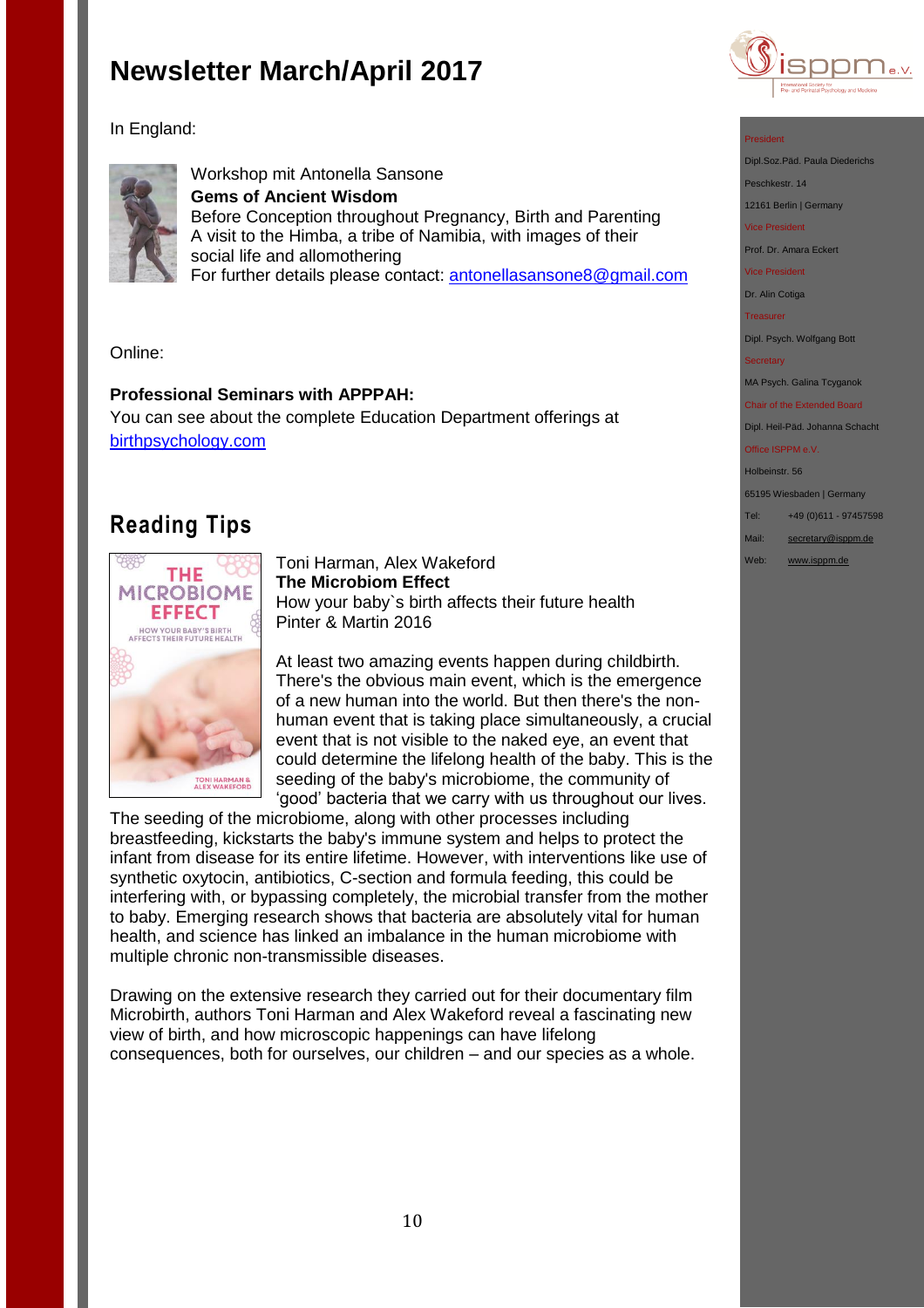

In England:



Workshop mit Antonella Sansone **Gems of Ancient Wisdom** Before Conception throughout Pregnancy, Birth and Parenting A visit to the Himba, a tribe of Namibia, with images of their social life and allomothering For further details please contact: antonellasansone8@gmail.com

Online:

### **Professional Seminars with APPPAH:**

You can see about the complete Education Department offerings at [birthpsychology.com](http://birthpsychology.com/)

## **Reading Tips**



Toni Harman, Alex Wakeford **The Microbiom Effect** How your baby`s birth affects their future health Pinter & Martin 2016

At least two amazing events happen during childbirth. There's the obvious main event, which is the emergence of a new human into the world. But then there's the nonhuman event that is taking place simultaneously, a crucial event that is not visible to the naked eye, an event that could determine the lifelong health of the baby. This is the seeding of the baby's microbiome, the community of 'good' bacteria that we carry with us throughout our lives.

The seeding of the microbiome, along with other processes including breastfeeding, kickstarts the baby's immune system and helps to protect the infant from disease for its entire lifetime. However, with interventions like use of synthetic oxytocin, antibiotics, C-section and formula feeding, this could be interfering with, or bypassing completely, the microbial transfer from the mother to baby. Emerging research shows that bacteria are absolutely vital for human health, and science has linked an imbalance in the human microbiome with multiple chronic non-transmissible diseases.

Drawing on the extensive research they carried out for their documentary film Microbirth, authors Toni Harman and Alex Wakeford reveal a fascinating new view of birth, and how microscopic happenings can have lifelong consequences, both for ourselves, our children – and our species as a whole.

#### President

Dipl.Soz.Päd. Paula Diederichs

Peschkestr. 14

12161 Berlin | Germany

Vice President

Prof. Dr. Amara Eckert

Vice President

Dr. Alin Cotiga

**Treasurer** 

Dipl. Psych. Wolfgang Bott

**Secretary** 

MA Psych. Galina Tcyganok

Chair of the Extended Board Dipl. Heil-Päd. Johanna Schacht

Office ISPPM e.V.

Holbeinstr. 56 65195 Wiesbaden | Germany Tel: +49 (0)611 - 97457598

Mail: [secretary@isppm.de](mailto:secretary@isppm.de)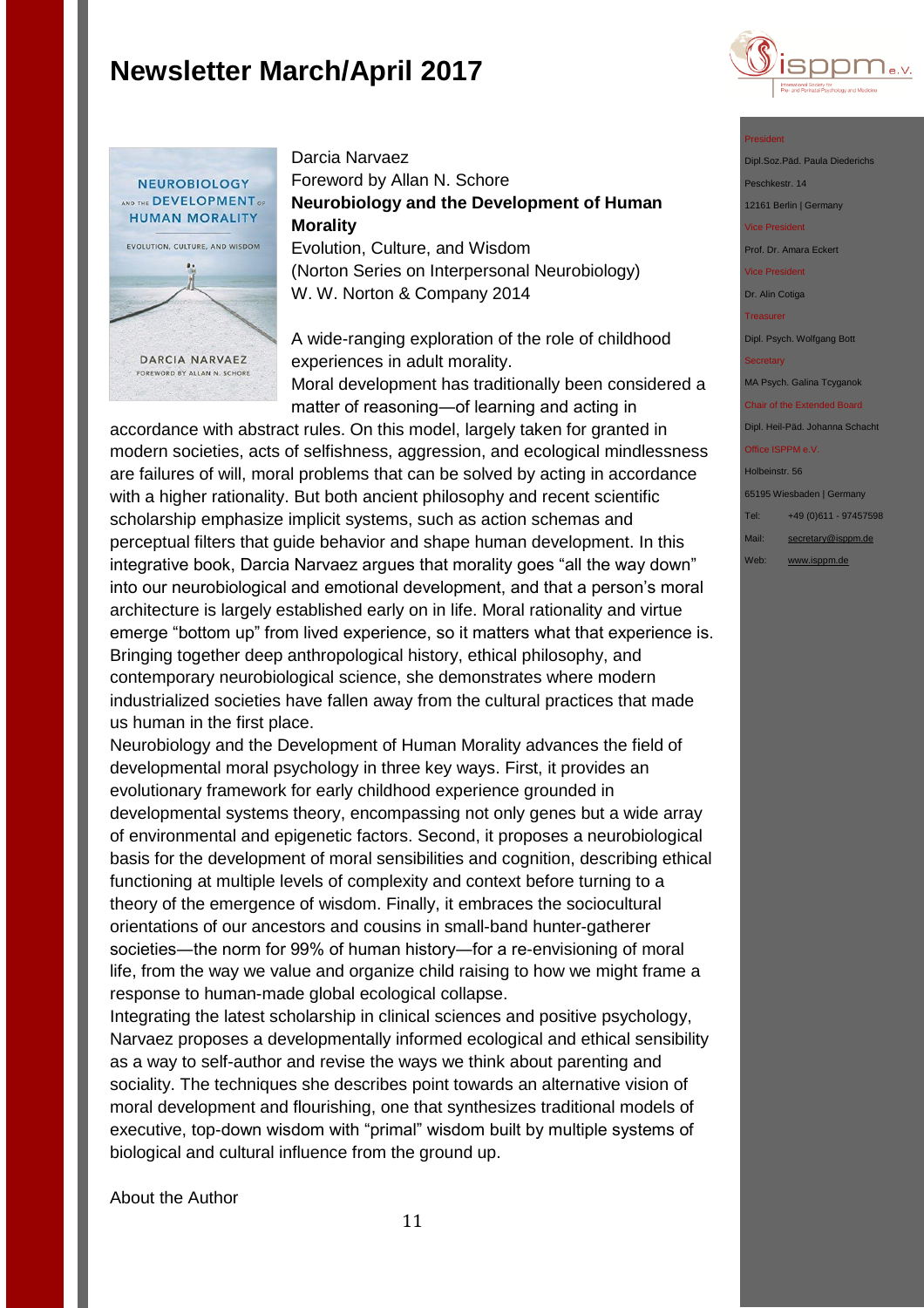



Darcia Narvaez Foreword by Allan N. Schore **Neurobiology and the Development of Human Morality** Evolution, Culture, and Wisdom

(Norton Series on Interpersonal Neurobiology) W. W. Norton & Company 2014

A wide-ranging exploration of the role of childhood experiences in adult morality. Moral development has traditionally been considered a matter of reasoning―of learning and acting in

accordance with abstract rules. On this model, largely taken for granted in modern societies, acts of selfishness, aggression, and ecological mindlessness are failures of will, moral problems that can be solved by acting in accordance with a higher rationality. But both ancient philosophy and recent scientific scholarship emphasize implicit systems, such as action schemas and perceptual filters that guide behavior and shape human development. In this integrative book, Darcia Narvaez argues that morality goes "all the way down" into our neurobiological and emotional development, and that a person's moral architecture is largely established early on in life. Moral rationality and virtue emerge "bottom up" from lived experience, so it matters what that experience is. Bringing together deep anthropological history, ethical philosophy, and contemporary neurobiological science, she demonstrates where modern industrialized societies have fallen away from the cultural practices that made us human in the first place.

Neurobiology and the Development of Human Morality advances the field of developmental moral psychology in three key ways. First, it provides an evolutionary framework for early childhood experience grounded in developmental systems theory, encompassing not only genes but a wide array of environmental and epigenetic factors. Second, it proposes a neurobiological basis for the development of moral sensibilities and cognition, describing ethical functioning at multiple levels of complexity and context before turning to a theory of the emergence of wisdom. Finally, it embraces the sociocultural orientations of our ancestors and cousins in small-band hunter-gatherer societies―the norm for 99% of human history―for a re-envisioning of moral life, from the way we value and organize child raising to how we might frame a response to human-made global ecological collapse.

Integrating the latest scholarship in clinical sciences and positive psychology, Narvaez proposes a developmentally informed ecological and ethical sensibility as a way to self-author and revise the ways we think about parenting and sociality. The techniques she describes point towards an alternative vision of moral development and flourishing, one that synthesizes traditional models of executive, top-down wisdom with "primal" wisdom built by multiple systems of biological and cultural influence from the ground up.

About the Author

#### President

Dipl.Soz.Päd. Paula Diederichs Peschkestr. 14

12161 Berlin | Germany rice President

Prof. Dr. Amara Eckert

Vice President

Dr. Alin Cotiga

**Treasurer** 

Dipl. Psych. Wolfgang Bott

MA Psych. Galina Tcyganok

#### Chair of the Extended Board Dipl. Heil-Päd. Johanna Schacht Office ISPPM e.V.

### Holbeinstr. 56

65195 Wiesbaden | Germany

Tel: +49 (0)611 - 97457598 Mail: [secretary@isppm.de](mailto:secretary@isppm.de)